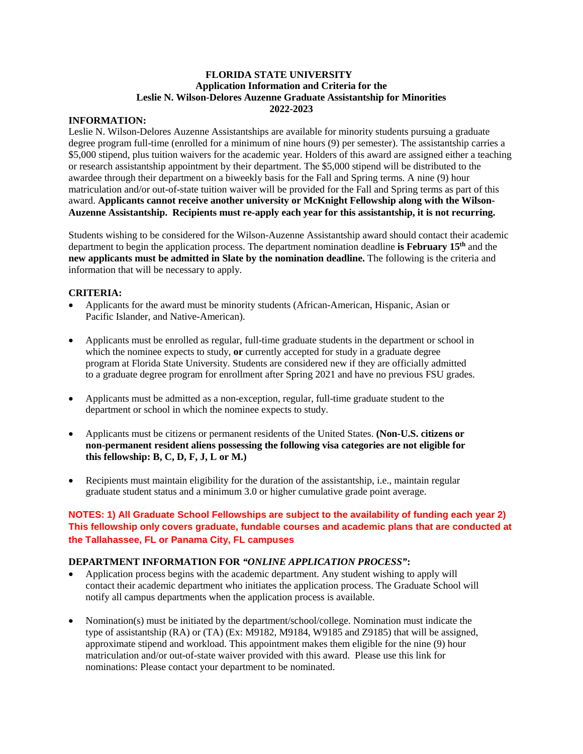#### **FLORIDA STATE UNIVERSITY Application Information and Criteria for the Leslie N. Wilson-Delores Auzenne Graduate Assistantship for Minorities 2022-2023**

## **INFORMATION:**

Leslie N. Wilson-Delores Auzenne Assistantships are available for minority students pursuing a graduate degree program full-time (enrolled for a minimum of nine hours (9) per semester). The assistantship carries a \$5,000 stipend, plus tuition waivers for the academic year. Holders of this award are assigned either a teaching or research assistantship appointment by their department. The \$5,000 stipend will be distributed to the awardee through their department on a biweekly basis for the Fall and Spring terms. A nine (9) hour matriculation and/or out-of-state tuition waiver will be provided for the Fall and Spring terms as part of this award. **Applicants cannot receive another university or McKnight Fellowship along with the Wilson-Auzenne Assistantship. Recipients must re-apply each year for this assistantship, it is not recurring.**

Students wishing to be considered for the Wilson-Auzenne Assistantship award should contact their academic department to begin the application process. The department nomination deadline **is February 15th** and the **new applicants must be admitted in Slate by the nomination deadline.** The following is the criteria and information that will be necessary to apply.

## **CRITERIA:**

- Applicants for the award must be minority students (African-American, Hispanic, Asian or Pacific Islander, and Native-American).
- Applicants must be enrolled as regular, full-time graduate students in the department or school in which the nominee expects to study, **or** currently accepted for study in a graduate degree program at Florida State University. Students are considered new if they are officially admitted to a graduate degree program for enrollment after Spring 2021 and have no previous FSU grades.
- Applicants must be admitted as a non-exception, regular, full-time graduate student to the department or school in which the nominee expects to study.
- Applicants must be citizens or permanent residents of the United States. **(Non-U.S. citizens or non-permanent resident aliens possessing the following visa categories are not eligible for this fellowship: B, C, D, F, J, L or M.)**
- Recipients must maintain eligibility for the duration of the assistantship, i.e., maintain regular graduate student status and a minimum 3.0 or higher cumulative grade point average.

# **NOTES: 1) All Graduate School Fellowships are subject to the availability of funding each year 2) This fellowship only covers graduate, fundable courses and academic plans that are conducted at the Tallahassee, FL or Panama City, FL campuses**

#### **DEPARTMENT INFORMATION FOR** *"ONLINE APPLICATION PROCESS"***:**

- Application process begins with the academic department. Any student wishing to apply will contact their academic department who initiates the application process. The Graduate School will notify all campus departments when the application process is available.
- Nomination(s) must be initiated by the department/school/college. Nomination must indicate the type of assistantship (RA) or (TA) (Ex: M9182, M9184, W9185 and Z9185) that will be assigned, approximate stipend and workload. This appointment makes them eligible for the nine (9) hour matriculation and/or out-of-state waiver provided with this award. Please use this link for nominations: Please contact your department to be nominated.